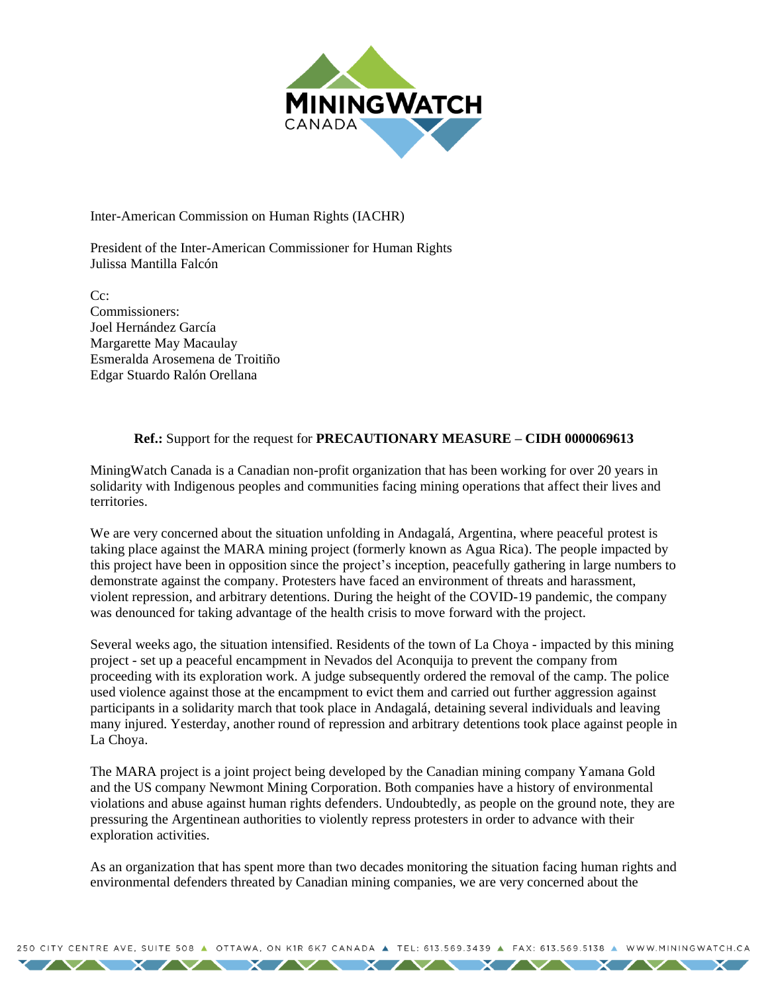

Inter-American Commission on Human Rights (IACHR)

President of the Inter-American Commissioner for Human Rights Julissa Mantilla Falcón

C<sub>c</sub>: Commissioners: Joel Hernández García Margarette May Macaulay Esmeralda Arosemena de Troitiño Edgar Stuardo Ralón Orellana

## **Ref.:** Support for the request for **PRECAUTIONARY MEASURE – CIDH 0000069613**

MiningWatch Canada is a Canadian non-profit organization that has been working for over 20 years in solidarity with Indigenous peoples and communities facing mining operations that affect their lives and **territories** 

We are very concerned about the situation unfolding in Andagalá, Argentina, where peaceful protest is taking place against the MARA mining project (formerly known as Agua Rica). The people impacted by this project have been in opposition since the project's inception, peacefully gathering in large numbers to demonstrate against the company. Protesters have faced an environment of threats and harassment, violent repression, and arbitrary detentions. During the height of the COVID-19 pandemic, the company was denounced for taking advantage of the health crisis to move forward with the project.

Several weeks ago, the situation intensified. Residents of the town of La Choya - impacted by this mining project - set up a peaceful encampment in Nevados del Aconquija to prevent the company from proceeding with its exploration work. A judge subsequently ordered the removal of the camp. The police used violence against those at the encampment to evict them and carried out further aggression against participants in a solidarity march that took place in Andagalá, detaining several individuals and leaving many injured. Yesterday, another round of repression and arbitrary detentions took place against people in La Choya.

The MARA project is a joint project being developed by the Canadian mining company Yamana Gold and the US company Newmont Mining Corporation. Both companies have a history of environmental violations and abuse against human rights defenders. Undoubtedly, as people on the ground note, they are pressuring the Argentinean authorities to violently repress protesters in order to advance with their exploration activities.

As an organization that has spent more than two decades monitoring the situation facing human rights and environmental defenders threated by Canadian mining companies, we are very concerned about the